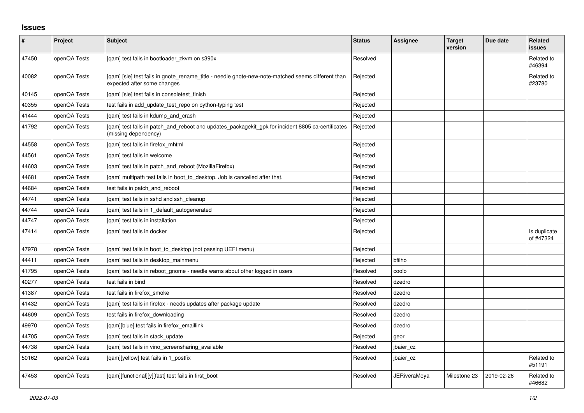## **Issues**

| $\vert$ # | Project      | <b>Subject</b>                                                                                                                   | <b>Status</b> | Assignee            | <b>Target</b><br>version | Due date   | Related<br><b>issues</b>  |
|-----------|--------------|----------------------------------------------------------------------------------------------------------------------------------|---------------|---------------------|--------------------------|------------|---------------------------|
| 47450     | openQA Tests | [gam] test fails in bootloader zkvm on s390x                                                                                     | Resolved      |                     |                          |            | Related to<br>#46394      |
| 40082     | openQA Tests | [qam] [sle] test fails in gnote_rename_title - needle gnote-new-note-matched seems different than<br>expected after some changes | Rejected      |                     |                          |            | Related to<br>#23780      |
| 40145     | openQA Tests | [gam] [sle] test fails in consoletest finish                                                                                     | Rejected      |                     |                          |            |                           |
| 40355     | openQA Tests | test fails in add_update_test_repo on python-typing test                                                                         | Rejected      |                     |                          |            |                           |
| 41444     | openQA Tests | [gam] test fails in kdump and crash                                                                                              | Rejected      |                     |                          |            |                           |
| 41792     | openQA Tests | [qam] test fails in patch_and_reboot and updates_packagekit_gpk for incident 8805 ca-certificates<br>(missing dependency)        | Rejected      |                     |                          |            |                           |
| 44558     | openQA Tests | [qam] test fails in firefox_mhtml                                                                                                | Rejected      |                     |                          |            |                           |
| 44561     | openQA Tests | [qam] test fails in welcome                                                                                                      | Rejected      |                     |                          |            |                           |
| 44603     | openQA Tests | [gam] test fails in patch and reboot (MozillaFirefox)                                                                            | Rejected      |                     |                          |            |                           |
| 44681     | openQA Tests | [gam] multipath test fails in boot to desktop. Job is cancelled after that.                                                      | Rejected      |                     |                          |            |                           |
| 44684     | openQA Tests | test fails in patch and reboot                                                                                                   | Rejected      |                     |                          |            |                           |
| 44741     | openQA Tests | [qam] test fails in sshd and ssh_cleanup                                                                                         | Rejected      |                     |                          |            |                           |
| 44744     | openQA Tests | [gam] test fails in 1 default autogenerated                                                                                      | Rejected      |                     |                          |            |                           |
| 44747     | openQA Tests | [gam] test fails in installation                                                                                                 | Rejected      |                     |                          |            |                           |
| 47414     | openQA Tests | [qam] test fails in docker                                                                                                       | Rejected      |                     |                          |            | Is duplicate<br>of #47324 |
| 47978     | openQA Tests | [qam] test fails in boot_to_desktop (not passing UEFI menu)                                                                      | Rejected      |                     |                          |            |                           |
| 44411     | openQA Tests | [gam] test fails in desktop mainmenu                                                                                             | Rejected      | bfilho              |                          |            |                           |
| 41795     | openQA Tests | [gam] test fails in reboot gnome - needle warns about other logged in users                                                      | Resolved      | coolo               |                          |            |                           |
| 40277     | openQA Tests | test fails in bind                                                                                                               | Resolved      | dzedro              |                          |            |                           |
| 41387     | openQA Tests | test fails in firefox smoke                                                                                                      | Resolved      | dzedro              |                          |            |                           |
| 41432     | openQA Tests | [gam] test fails in firefox - needs updates after package update                                                                 | Resolved      | dzedro              |                          |            |                           |
| 44609     | openQA Tests | test fails in firefox downloading                                                                                                | Resolved      | dzedro              |                          |            |                           |
| 49970     | openQA Tests | [qam][blue] test fails in firefox_emaillink                                                                                      | Resolved      | dzedro              |                          |            |                           |
| 44705     | openQA Tests | [qam] test fails in stack_update                                                                                                 | Rejected      | geor                |                          |            |                           |
| 44738     | openQA Tests | [gam] test fails in vino screensharing available                                                                                 | Resolved      | jbaier cz           |                          |            |                           |
| 50162     | openQA Tests | [gam][yellow] test fails in 1 postfix                                                                                            | Resolved      | jbaier cz           |                          |            | Related to<br>#51191      |
| 47453     | openQA Tests | [qam][functional][y][fast] test fails in first_boot                                                                              | Resolved      | <b>JERiveraMoya</b> | Milestone 23             | 2019-02-26 | Related to<br>#46682      |